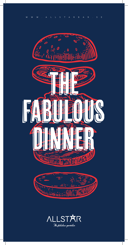

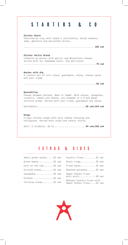#### STARTERS & CO Allstar Chark Charcuterie tray with today's charcuterie, mixed cheeses, jams, gherkins and marinated olives. ...................................................... 189 sek Allstar Garlic Bread Ciabatta au gratin with garlic and Mozzarella cheese. Served with our homemade aioli. Dip and enjoy! ....................................................... 79 sek Nachos with dip A classic mix of corn chips, guacamole, salsa, cheese sauce and sour cream. ....................................................... 89 sek Quesadillas Choose between Chicken, Beef or Oumph. With onions, jalapeños, cilantro, tomato and cheese. All wrapped in a fried wheat tortilla bread. Served with sour cream, guacamole and salsa. Half/whole..................................... 89 sek/154 sek Wings

Crispy chicken wings with blue cheese dressing and chiliglaze. Served with chips and celery sticks.

Half, 5 st/whole, 10 st..........................94 sek/169 sek

#### Extras & sides

| Small green salad 25 sek |  |
|--------------------------|--|
| Green beans 25 sek       |  |
| Corn on the cob 25 sek   |  |
| Grilled bread 25 sek     |  |
| Jalapeños 25 sek         |  |
| Pickles 25 sek           |  |
| Tortilla bread 25 sek    |  |

| Country Fries 35 sek                                    |  |
|---------------------------------------------------------|--|
| Onion rings 35 sek                                      |  |
| Fried bacon 35 sek                                      |  |
| Roasted potatoes 35 sek                                 |  |
| Sweet Potato Fries<br>with aioli 69 sek                 |  |
| Replace Country Fries with<br>Sweet Potato Fries 25 sek |  |

. . . . . . . . . . . . . .

 $\overline{\phantom{a}}$ 

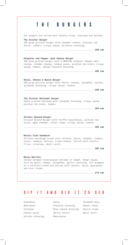| THE.<br>BURGERS                                                                                                                                                                                                                |
|--------------------------------------------------------------------------------------------------------------------------------------------------------------------------------------------------------------------------------|
| All burgers are served with Country Fries, coleslaw and pickles.                                                                                                                                                               |
| The Allstar Burger<br>180 gram grilled burger with cheddar cheese, pickled red<br>onion, tomato, crispy salad, Allstard dressing.                                                                                              |
|                                                                                                                                                                                                                                |
| Chipotle and Pepper Jack Cheese Burger<br>180 gram grilled burger with 3 AMAZING cheeses! Pepper Jack<br>cheese, cheddar cheese, cheese sauce, pickled red onion, crispy<br>salad, tomato, smoked chipotle dressing.           |
|                                                                                                                                                                                                                                |
| Chili, Cheese & Bacon Burger<br>180 gram grilled burger with bacon, cheese, jalapeño, nachos,<br>jalapeño dressing, crispy salad, tomato.                                                                                      |
|                                                                                                                                                                                                                                |
| The Allstar Halloumi Burger<br>Panko crusted halloumi with jalapeño dressing, crispy salad,<br>pickled red onion, tomato.                                                                                                      |
| Allstar Beyond Burger<br>Grilled Beyond Burger with truffle mayonnaise, pickled red<br>onion, aged cheddar, onion rings, crispy salad, tomato.                                                                                 |
| Rustic Club Sandwich<br>Grilled sourdough bread with chicken, bacon, cheddar, tomato,<br>onion, romaine lettuce, cream cheese. Served with Country<br>Fries, coleslaw, basil aioli.                                            |
| Messy Burrito<br>Choose between hand-peeled shrimps or Oumph. Roman salad,<br>pico de gallo, mango, jalapeños, garlic dressing. All wrapped<br>in a tortilla bread and served with nachos, salsa, guacamole<br>and sour cream. |
|                                                                                                                                                                                                                                |

## DIP IT AND DIG IT 25 sek

Guacamole Béarnaise Coleslaw Cheese sauce Allstar dressing

 $\begin{array}{c} \hline \end{array}$ 

 $\overline{\phantom{a}}$ 

Salsa Chipotle dressing Blue cheese dressing Garlic butter Mayonnaise

222222

Jalapeño majo Pepper sauce Chevre cream Basil aioli

\_\_\_\_\_\_\_\_\_\_\_\_\_\_\_\_\_\_\_\_

 $\overline{\phantom{a}}$ 

 $\overline{\phantom{a}}$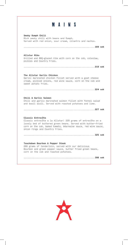#### **MAINS** Smoky Oumph Chili Rich smoky chili with beans and Oumph. Served with red onion, sour cream, cilantro and nachos. ...................................................... 169 sek Allstar Ribs Grilled and BBQ-glazed ribs with corn on the cob, coleslaw, pickles and Country Fries. ...................................................... 219 sek The Allstar Garlic Chicken Garlic marinated chicken fillet served with a goat cheese cream, pickled onions, red wine sauce, corn on the cob and sweet potato fries. ...................................................... 224 sek Chili & Garlic Salmon Chili and garlic marinated salmon fillet with fennel salad and basil aioli. Served with roasted potatoes and lime. ...................................................... 227 sek Classic Entrecôte Classic entrecôte a la Allstar! 220 grams of entrecôte on a lovely bed of buttered green beans. Served with butter-fried corn on the cob, baked tomato, béarnaise sauce, red wine sauce, onion rings and Country Fries. ...................................................... 325 sek Touchdown Bourbon & Pepper Steak 200 grams of tenderloin, served with our delicious Bourbon and green pepper sauce, butter fried green beans, corn on the cob and roasted potatoes. ...................................................... 398 sek

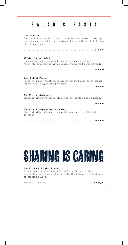| SALAD<br>ASTA<br>&                                                                                                                                                     |
|------------------------------------------------------------------------------------------------------------------------------------------------------------------------|
| Caesar Salad<br>The one and only with crispy romaine lettuce, caesar dressing,<br>parmesan cheese and bread croutons. Served with grilled chicken<br>fillet and bacon. |
|                                                                                                                                                                        |
| Allstar Shrimp Salad<br>Hand-peeled shrimps, mixed vegetables and salad with<br>Asian flavors. Served with soy mayonnaise and garlic bread.                            |
| Beef Fillet Pasta<br>Pasta in creamy chanterelle sauce flavored with green pepper.<br>Topped with arugula and parmesan.                                                |
| The Allstar Carbonara<br>Linguini with pork loin, black pepper, garlic and parmesan.                                                                                   |
|                                                                                                                                                                        |
| The Allstar Vegetarian Carbonara<br>Linguini with shiitake, facon, black pepper, garlic and<br>parmesan.                                                               |
|                                                                                                                                                                        |

 $\overline{\phantom{a}}$ 

 $\overline{\phantom{a}}$ 

 $\overline{\phantom{a}}$ 

 $\blacksquare$ 

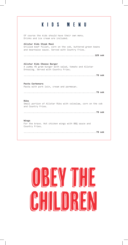### KIDS MENU

 $\overline{\phantom{a}}$ 

 $\overline{\phantom{a}}$ 

 $\overline{\phantom{a}}$ 

Of course the kids should have their own menu. Drinks and ice cream are included. Allstar Kids Steak Meal Grilled beef fillet, corn on the cob, buttered green beans and bearnaise sauce. Served with Country Fries. ...................................................... 129 sek Allstar Kids Cheese Burger A yummy 45 gram burger with salad, tomato and Allstar Dressing. Served with Country Fries. ....................................................... 79 sek Pasta Carbonara Pasta with pork loin, cream and parmesan. ....................................................... 79 sek Ribs Small portion of Allstar Ribs with coleslaw, corn on the cob and Country Fries. ....................................................... 79 sek Wings For the brave. Hot chicken wings with BBQ sauce and Country Fries. ....................................................... 79 sek

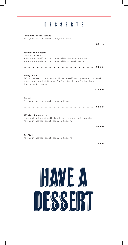# DESSERTS

Five Dollar Milkshake Ask your waiter about today's flavors. ....................................................... 69 sek Hockey Ice Creams Choose between: • Bourbon vanilla ice cream with chocolate sauce • Cacao chocolate ice cream with caramel sauce ....................................................... 64 sek Rocky Road Salty caramel ice cream with marshmallows, peanuts, caramel sauce and crushed Oreos. Perfect for 2 people to share! *Can be made vegan.* ...................................................... 138 sek Sorbet Ask your waiter about today's flavors. ....................................................... 64 sek Allstar Pannacotta Pannacotta topped with fresh berries and oat crunch. Ask your waiter about today's flavor. ....................................................... 59 sek Tryffel Ask your waiter about today's flavors. ....................................................... 35 sek

# HAVIE A **CCCEP**

 $\overline{\phantom{a}}$